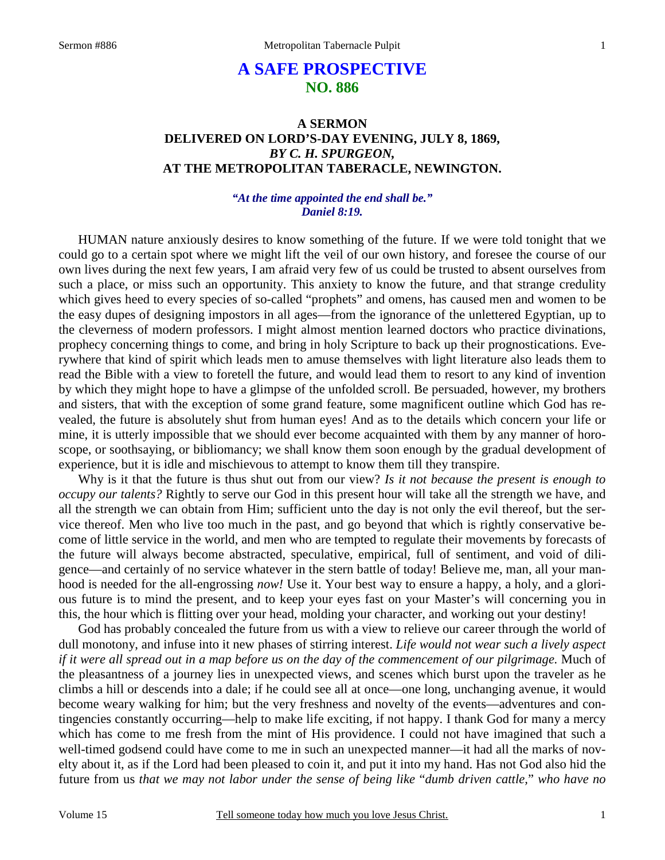# **A SAFE PROSPECTIVE NO. 886**

### **A SERMON DELIVERED ON LORD'S-DAY EVENING, JULY 8, 1869,**  *BY C. H. SPURGEON,*  **AT THE METROPOLITAN TABERACLE, NEWINGTON.**

### *"At the time appointed the end shall be." Daniel 8:19.*

HUMAN nature anxiously desires to know something of the future. If we were told tonight that we could go to a certain spot where we might lift the veil of our own history, and foresee the course of our own lives during the next few years, I am afraid very few of us could be trusted to absent ourselves from such a place, or miss such an opportunity. This anxiety to know the future, and that strange credulity which gives heed to every species of so-called "prophets" and omens, has caused men and women to be the easy dupes of designing impostors in all ages—from the ignorance of the unlettered Egyptian, up to the cleverness of modern professors. I might almost mention learned doctors who practice divinations, prophecy concerning things to come, and bring in holy Scripture to back up their prognostications. Everywhere that kind of spirit which leads men to amuse themselves with light literature also leads them to read the Bible with a view to foretell the future, and would lead them to resort to any kind of invention by which they might hope to have a glimpse of the unfolded scroll. Be persuaded, however, my brothers and sisters, that with the exception of some grand feature, some magnificent outline which God has revealed, the future is absolutely shut from human eyes! And as to the details which concern your life or mine, it is utterly impossible that we should ever become acquainted with them by any manner of horoscope, or soothsaying, or bibliomancy; we shall know them soon enough by the gradual development of experience, but it is idle and mischievous to attempt to know them till they transpire.

Why is it that the future is thus shut out from our view? *Is it not because the present is enough to occupy our talents?* Rightly to serve our God in this present hour will take all the strength we have, and all the strength we can obtain from Him; sufficient unto the day is not only the evil thereof, but the service thereof. Men who live too much in the past, and go beyond that which is rightly conservative become of little service in the world, and men who are tempted to regulate their movements by forecasts of the future will always become abstracted, speculative, empirical, full of sentiment, and void of diligence—and certainly of no service whatever in the stern battle of today! Believe me, man, all your manhood is needed for the all-engrossing *now!* Use it. Your best way to ensure a happy, a holy, and a glorious future is to mind the present, and to keep your eyes fast on your Master's will concerning you in this, the hour which is flitting over your head, molding your character, and working out your destiny!

 God has probably concealed the future from us with a view to relieve our career through the world of dull monotony, and infuse into it new phases of stirring interest. *Life would not wear such a lively aspect if it were all spread out in a map before us on the day of the commencement of our pilgrimage.* Much of the pleasantness of a journey lies in unexpected views, and scenes which burst upon the traveler as he climbs a hill or descends into a dale; if he could see all at once—one long, unchanging avenue, it would become weary walking for him; but the very freshness and novelty of the events—adventures and contingencies constantly occurring—help to make life exciting, if not happy. I thank God for many a mercy which has come to me fresh from the mint of His providence. I could not have imagined that such a well-timed godsend could have come to me in such an unexpected manner—it had all the marks of novelty about it, as if the Lord had been pleased to coin it, and put it into my hand. Has not God also hid the future from us *that we may not labor under the sense of being like* "*dumb driven cattle,*" *who have no*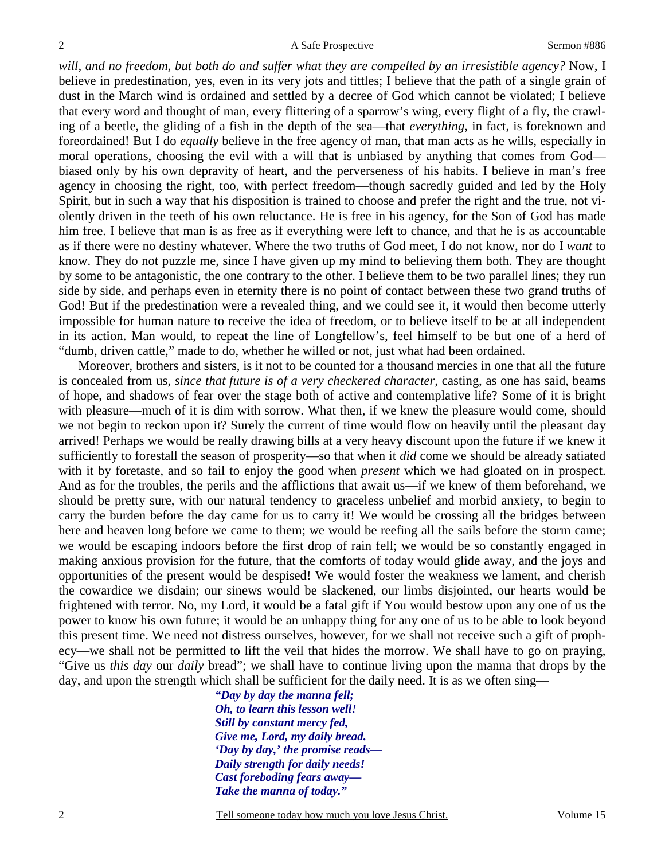will, and no freedom, but both do and suffer what they are compelled by an irresistible agency? Now, I believe in predestination, yes, even in its very jots and tittles; I believe that the path of a single grain of dust in the March wind is ordained and settled by a decree of God which cannot be violated; I believe that every word and thought of man, every flittering of a sparrow's wing, every flight of a fly, the crawling of a beetle, the gliding of a fish in the depth of the sea—that *everything*, in fact, is foreknown and foreordained! But I do *equally* believe in the free agency of man, that man acts as he wills, especially in moral operations, choosing the evil with a will that is unbiased by anything that comes from God biased only by his own depravity of heart, and the perverseness of his habits. I believe in man's free agency in choosing the right, too, with perfect freedom—though sacredly guided and led by the Holy Spirit, but in such a way that his disposition is trained to choose and prefer the right and the true, not violently driven in the teeth of his own reluctance. He is free in his agency, for the Son of God has made him free. I believe that man is as free as if everything were left to chance, and that he is as accountable as if there were no destiny whatever. Where the two truths of God meet, I do not know, nor do I *want* to know. They do not puzzle me, since I have given up my mind to believing them both. They are thought by some to be antagonistic, the one contrary to the other. I believe them to be two parallel lines; they run side by side, and perhaps even in eternity there is no point of contact between these two grand truths of God! But if the predestination were a revealed thing, and we could see it, it would then become utterly impossible for human nature to receive the idea of freedom, or to believe itself to be at all independent in its action. Man would, to repeat the line of Longfellow's, feel himself to be but one of a herd of "dumb, driven cattle," made to do, whether he willed or not, just what had been ordained.

 Moreover, brothers and sisters, is it not to be counted for a thousand mercies in one that all the future is concealed from us, *since that future is of a very checkered character,* casting, as one has said, beams of hope, and shadows of fear over the stage both of active and contemplative life? Some of it is bright with pleasure—much of it is dim with sorrow. What then, if we knew the pleasure would come, should we not begin to reckon upon it? Surely the current of time would flow on heavily until the pleasant day arrived! Perhaps we would be really drawing bills at a very heavy discount upon the future if we knew it sufficiently to forestall the season of prosperity—so that when it *did* come we should be already satiated with it by foretaste, and so fail to enjoy the good when *present* which we had gloated on in prospect. And as for the troubles, the perils and the afflictions that await us—if we knew of them beforehand, we should be pretty sure, with our natural tendency to graceless unbelief and morbid anxiety, to begin to carry the burden before the day came for us to carry it! We would be crossing all the bridges between here and heaven long before we came to them; we would be reefing all the sails before the storm came; we would be escaping indoors before the first drop of rain fell; we would be so constantly engaged in making anxious provision for the future, that the comforts of today would glide away, and the joys and opportunities of the present would be despised! We would foster the weakness we lament, and cherish the cowardice we disdain; our sinews would be slackened, our limbs disjointed, our hearts would be frightened with terror. No, my Lord, it would be a fatal gift if You would bestow upon any one of us the power to know his own future; it would be an unhappy thing for any one of us to be able to look beyond this present time. We need not distress ourselves, however, for we shall not receive such a gift of prophecy—we shall not be permitted to lift the veil that hides the morrow. We shall have to go on praying, "Give us *this day* our *daily* bread"; we shall have to continue living upon the manna that drops by the day, and upon the strength which shall be sufficient for the daily need. It is as we often sing—

> *"Day by day the manna fell; Oh, to learn this lesson well! Still by constant mercy fed, Give me, Lord, my daily bread. 'Day by day,' the promise reads— Daily strength for daily needs! Cast foreboding fears away— Take the manna of today."*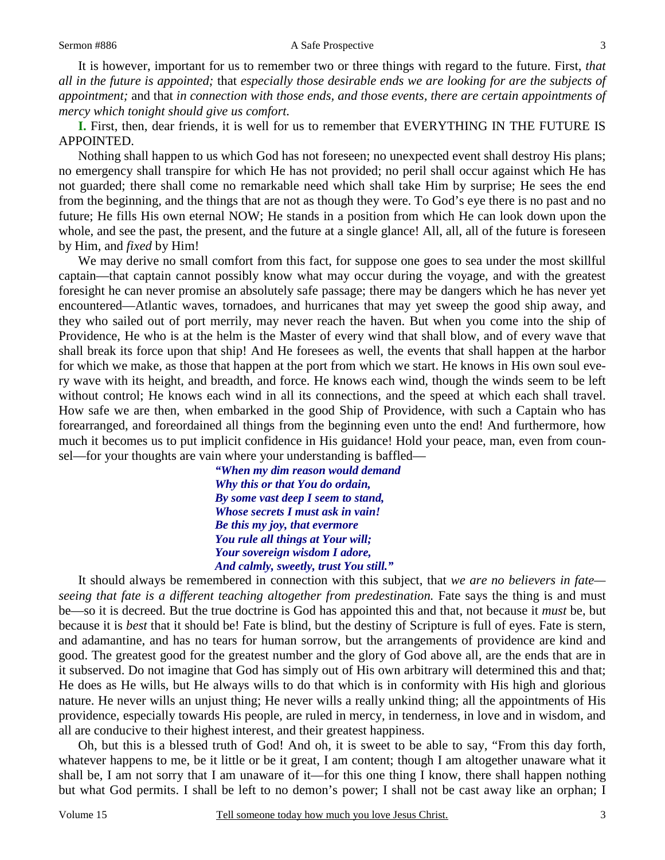#### Sermon #886 A Safe Prospective

 It is however, important for us to remember two or three things with regard to the future. First, *that all in the future is appointed;* that *especially those desirable ends we are looking for are the subjects of appointment;* and that *in connection with those ends, and those events, there are certain appointments of mercy which tonight should give us comfort.* 

**I.** First, then, dear friends, it is well for us to remember that EVERYTHING IN THE FUTURE IS APPOINTED.

 Nothing shall happen to us which God has not foreseen; no unexpected event shall destroy His plans; no emergency shall transpire for which He has not provided; no peril shall occur against which He has not guarded; there shall come no remarkable need which shall take Him by surprise; He sees the end from the beginning, and the things that are not as though they were. To God's eye there is no past and no future; He fills His own eternal NOW; He stands in a position from which He can look down upon the whole, and see the past, the present, and the future at a single glance! All, all, all of the future is foreseen by Him, and *fixed* by Him!

 We may derive no small comfort from this fact, for suppose one goes to sea under the most skillful captain—that captain cannot possibly know what may occur during the voyage, and with the greatest foresight he can never promise an absolutely safe passage; there may be dangers which he has never yet encountered—Atlantic waves, tornadoes, and hurricanes that may yet sweep the good ship away, and they who sailed out of port merrily, may never reach the haven. But when you come into the ship of Providence, He who is at the helm is the Master of every wind that shall blow, and of every wave that shall break its force upon that ship! And He foresees as well, the events that shall happen at the harbor for which we make, as those that happen at the port from which we start. He knows in His own soul every wave with its height, and breadth, and force. He knows each wind, though the winds seem to be left without control; He knows each wind in all its connections, and the speed at which each shall travel. How safe we are then, when embarked in the good Ship of Providence, with such a Captain who has forearranged, and foreordained all things from the beginning even unto the end! And furthermore, how much it becomes us to put implicit confidence in His guidance! Hold your peace, man, even from counsel—for your thoughts are vain where your understanding is baffled—

> *"When my dim reason would demand Why this or that You do ordain, By some vast deep I seem to stand, Whose secrets I must ask in vain! Be this my joy, that evermore You rule all things at Your will; Your sovereign wisdom I adore, And calmly, sweetly, trust You still."*

 It should always be remembered in connection with this subject, that *we are no believers in fate seeing that fate is a different teaching altogether from predestination.* Fate says the thing is and must be—so it is decreed. But the true doctrine is God has appointed this and that, not because it *must* be, but because it is *best* that it should be! Fate is blind, but the destiny of Scripture is full of eyes. Fate is stern, and adamantine, and has no tears for human sorrow, but the arrangements of providence are kind and good. The greatest good for the greatest number and the glory of God above all, are the ends that are in it subserved. Do not imagine that God has simply out of His own arbitrary will determined this and that; He does as He wills, but He always wills to do that which is in conformity with His high and glorious nature. He never wills an unjust thing; He never wills a really unkind thing; all the appointments of His providence, especially towards His people, are ruled in mercy, in tenderness, in love and in wisdom, and all are conducive to their highest interest, and their greatest happiness.

 Oh, but this is a blessed truth of God! And oh, it is sweet to be able to say, "From this day forth, whatever happens to me, be it little or be it great, I am content; though I am altogether unaware what it shall be, I am not sorry that I am unaware of it—for this one thing I know, there shall happen nothing but what God permits. I shall be left to no demon's power; I shall not be cast away like an orphan; I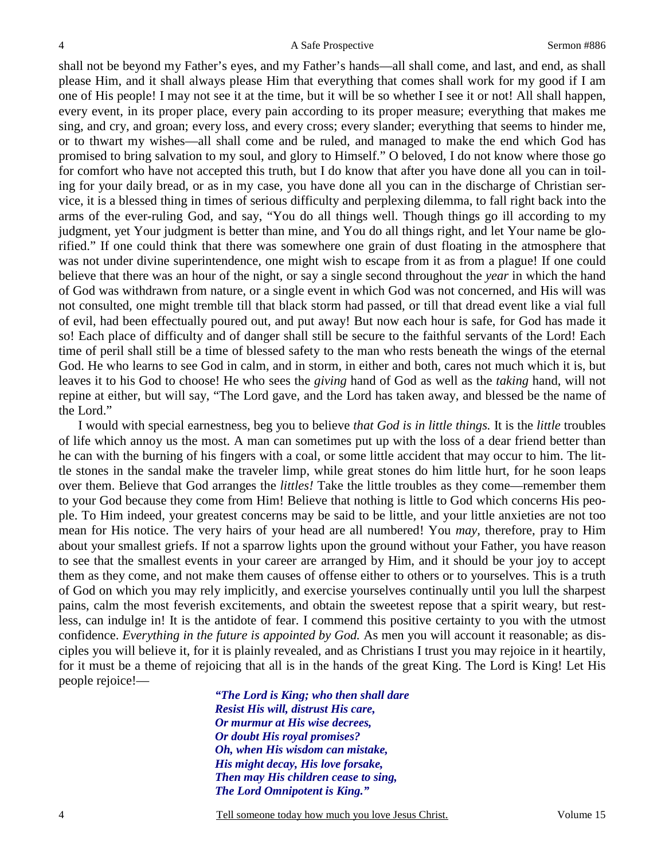shall not be beyond my Father's eyes, and my Father's hands—all shall come, and last, and end, as shall please Him, and it shall always please Him that everything that comes shall work for my good if I am one of His people! I may not see it at the time, but it will be so whether I see it or not! All shall happen, every event, in its proper place, every pain according to its proper measure; everything that makes me sing, and cry, and groan; every loss, and every cross; every slander; everything that seems to hinder me, or to thwart my wishes—all shall come and be ruled, and managed to make the end which God has promised to bring salvation to my soul, and glory to Himself." O beloved, I do not know where those go for comfort who have not accepted this truth, but I do know that after you have done all you can in toiling for your daily bread, or as in my case, you have done all you can in the discharge of Christian service, it is a blessed thing in times of serious difficulty and perplexing dilemma, to fall right back into the arms of the ever-ruling God, and say, "You do all things well. Though things go ill according to my judgment, yet Your judgment is better than mine, and You do all things right, and let Your name be glorified." If one could think that there was somewhere one grain of dust floating in the atmosphere that was not under divine superintendence, one might wish to escape from it as from a plague! If one could believe that there was an hour of the night, or say a single second throughout the *year* in which the hand of God was withdrawn from nature, or a single event in which God was not concerned, and His will was not consulted, one might tremble till that black storm had passed, or till that dread event like a vial full of evil, had been effectually poured out, and put away! But now each hour is safe, for God has made it so! Each place of difficulty and of danger shall still be secure to the faithful servants of the Lord! Each time of peril shall still be a time of blessed safety to the man who rests beneath the wings of the eternal God. He who learns to see God in calm, and in storm, in either and both, cares not much which it is, but leaves it to his God to choose! He who sees the *giving* hand of God as well as the *taking* hand, will not repine at either, but will say, "The Lord gave, and the Lord has taken away, and blessed be the name of the Lord."

 I would with special earnestness, beg you to believe *that God is in little things.* It is the *little* troubles of life which annoy us the most. A man can sometimes put up with the loss of a dear friend better than he can with the burning of his fingers with a coal, or some little accident that may occur to him. The little stones in the sandal make the traveler limp, while great stones do him little hurt, for he soon leaps over them. Believe that God arranges the *littles!* Take the little troubles as they come—remember them to your God because they come from Him! Believe that nothing is little to God which concerns His people. To Him indeed, your greatest concerns may be said to be little, and your little anxieties are not too mean for His notice. The very hairs of your head are all numbered! You *may,* therefore, pray to Him about your smallest griefs. If not a sparrow lights upon the ground without your Father, you have reason to see that the smallest events in your career are arranged by Him, and it should be your joy to accept them as they come, and not make them causes of offense either to others or to yourselves. This is a truth of God on which you may rely implicitly, and exercise yourselves continually until you lull the sharpest pains, calm the most feverish excitements, and obtain the sweetest repose that a spirit weary, but restless, can indulge in! It is the antidote of fear. I commend this positive certainty to you with the utmost confidence. *Everything in the future is appointed by God.* As men you will account it reasonable; as disciples you will believe it, for it is plainly revealed, and as Christians I trust you may rejoice in it heartily, for it must be a theme of rejoicing that all is in the hands of the great King. The Lord is King! Let His people rejoice!—

> *"The Lord is King; who then shall dare Resist His will, distrust His care, Or murmur at His wise decrees, Or doubt His royal promises? Oh, when His wisdom can mistake, His might decay, His love forsake, Then may His children cease to sing, The Lord Omnipotent is King."*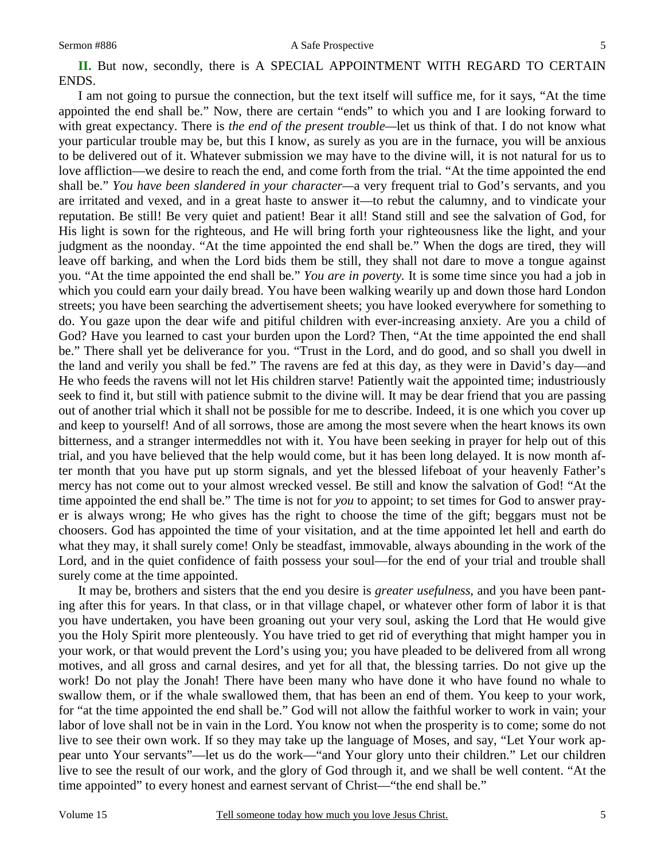I am not going to pursue the connection, but the text itself will suffice me, for it says, "At the time appointed the end shall be." Now, there are certain "ends" to which you and I are looking forward to with great expectancy. There is *the end of the present trouble—*let us think of that. I do not know what your particular trouble may be, but this I know, as surely as you are in the furnace, you will be anxious to be delivered out of it. Whatever submission we may have to the divine will, it is not natural for us to love affliction—we desire to reach the end, and come forth from the trial. "At the time appointed the end shall be." *You have been slandered in your character—*a very frequent trial to God's servants, and you are irritated and vexed, and in a great haste to answer it—to rebut the calumny, and to vindicate your reputation. Be still! Be very quiet and patient! Bear it all! Stand still and see the salvation of God, for His light is sown for the righteous, and He will bring forth your righteousness like the light, and your judgment as the noonday. "At the time appointed the end shall be." When the dogs are tired, they will leave off barking, and when the Lord bids them be still, they shall not dare to move a tongue against you. "At the time appointed the end shall be." *You are in poverty.* It is some time since you had a job in which you could earn your daily bread. You have been walking wearily up and down those hard London streets; you have been searching the advertisement sheets; you have looked everywhere for something to do. You gaze upon the dear wife and pitiful children with ever-increasing anxiety. Are you a child of God? Have you learned to cast your burden upon the Lord? Then, "At the time appointed the end shall be." There shall yet be deliverance for you. "Trust in the Lord, and do good, and so shall you dwell in the land and verily you shall be fed." The ravens are fed at this day, as they were in David's day—and He who feeds the ravens will not let His children starve! Patiently wait the appointed time; industriously seek to find it, but still with patience submit to the divine will. It may be dear friend that you are passing out of another trial which it shall not be possible for me to describe. Indeed, it is one which you cover up and keep to yourself! And of all sorrows, those are among the most severe when the heart knows its own bitterness, and a stranger intermeddles not with it. You have been seeking in prayer for help out of this trial, and you have believed that the help would come, but it has been long delayed. It is now month after month that you have put up storm signals, and yet the blessed lifeboat of your heavenly Father's mercy has not come out to your almost wrecked vessel. Be still and know the salvation of God! "At the time appointed the end shall be." The time is not for *you* to appoint; to set times for God to answer prayer is always wrong; He who gives has the right to choose the time of the gift; beggars must not be choosers. God has appointed the time of your visitation, and at the time appointed let hell and earth do what they may, it shall surely come! Only be steadfast, immovable, always abounding in the work of the Lord, and in the quiet confidence of faith possess your soul—for the end of your trial and trouble shall surely come at the time appointed.

 It may be, brothers and sisters that the end you desire is *greater usefulness,* and you have been panting after this for years. In that class, or in that village chapel, or whatever other form of labor it is that you have undertaken, you have been groaning out your very soul, asking the Lord that He would give you the Holy Spirit more plenteously. You have tried to get rid of everything that might hamper you in your work, or that would prevent the Lord's using you; you have pleaded to be delivered from all wrong motives, and all gross and carnal desires, and yet for all that, the blessing tarries. Do not give up the work! Do not play the Jonah! There have been many who have done it who have found no whale to swallow them, or if the whale swallowed them, that has been an end of them. You keep to your work, for "at the time appointed the end shall be." God will not allow the faithful worker to work in vain; your labor of love shall not be in vain in the Lord. You know not when the prosperity is to come; some do not live to see their own work. If so they may take up the language of Moses, and say, "Let Your work appear unto Your servants"—let us do the work—"and Your glory unto their children." Let our children live to see the result of our work, and the glory of God through it, and we shall be well content. "At the time appointed" to every honest and earnest servant of Christ—"the end shall be."

5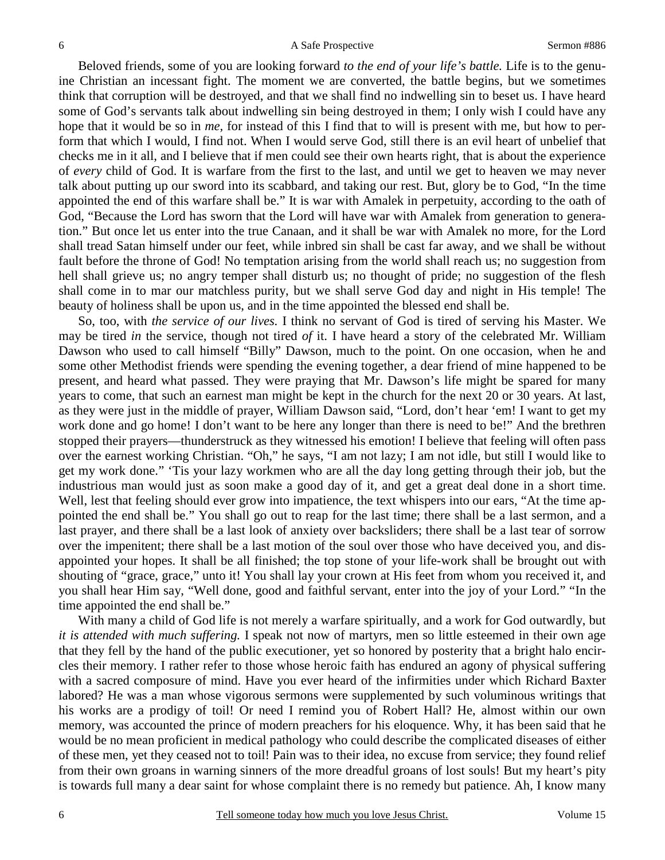Beloved friends, some of you are looking forward *to the end of your life's battle.* Life is to the genuine Christian an incessant fight. The moment we are converted, the battle begins, but we sometimes think that corruption will be destroyed, and that we shall find no indwelling sin to beset us. I have heard some of God's servants talk about indwelling sin being destroyed in them; I only wish I could have any hope that it would be so in *me,* for instead of this I find that to will is present with me, but how to perform that which I would, I find not. When I would serve God, still there is an evil heart of unbelief that checks me in it all, and I believe that if men could see their own hearts right, that is about the experience of *every* child of God. It is warfare from the first to the last, and until we get to heaven we may never talk about putting up our sword into its scabbard, and taking our rest. But, glory be to God, "In the time appointed the end of this warfare shall be." It is war with Amalek in perpetuity, according to the oath of God, "Because the Lord has sworn that the Lord will have war with Amalek from generation to generation." But once let us enter into the true Canaan, and it shall be war with Amalek no more, for the Lord shall tread Satan himself under our feet, while inbred sin shall be cast far away, and we shall be without fault before the throne of God! No temptation arising from the world shall reach us; no suggestion from hell shall grieve us; no angry temper shall disturb us; no thought of pride; no suggestion of the flesh shall come in to mar our matchless purity, but we shall serve God day and night in His temple! The beauty of holiness shall be upon us, and in the time appointed the blessed end shall be.

 So, too, with *the service of our lives.* I think no servant of God is tired of serving his Master. We may be tired *in* the service, though not tired *of* it. I have heard a story of the celebrated Mr. William Dawson who used to call himself "Billy" Dawson, much to the point. On one occasion, when he and some other Methodist friends were spending the evening together, a dear friend of mine happened to be present, and heard what passed. They were praying that Mr. Dawson's life might be spared for many years to come, that such an earnest man might be kept in the church for the next 20 or 30 years. At last, as they were just in the middle of prayer, William Dawson said, "Lord, don't hear 'em! I want to get my work done and go home! I don't want to be here any longer than there is need to be!" And the brethren stopped their prayers—thunderstruck as they witnessed his emotion! I believe that feeling will often pass over the earnest working Christian. "Oh," he says, "I am not lazy; I am not idle, but still I would like to get my work done." 'Tis your lazy workmen who are all the day long getting through their job, but the industrious man would just as soon make a good day of it, and get a great deal done in a short time. Well, lest that feeling should ever grow into impatience, the text whispers into our ears, "At the time appointed the end shall be." You shall go out to reap for the last time; there shall be a last sermon, and a last prayer, and there shall be a last look of anxiety over backsliders; there shall be a last tear of sorrow over the impenitent; there shall be a last motion of the soul over those who have deceived you, and disappointed your hopes. It shall be all finished; the top stone of your life-work shall be brought out with shouting of "grace, grace," unto it! You shall lay your crown at His feet from whom you received it, and you shall hear Him say, "Well done, good and faithful servant, enter into the joy of your Lord." "In the time appointed the end shall be."

 With many a child of God life is not merely a warfare spiritually, and a work for God outwardly, but *it is attended with much suffering.* I speak not now of martyrs, men so little esteemed in their own age that they fell by the hand of the public executioner, yet so honored by posterity that a bright halo encircles their memory. I rather refer to those whose heroic faith has endured an agony of physical suffering with a sacred composure of mind. Have you ever heard of the infirmities under which Richard Baxter labored? He was a man whose vigorous sermons were supplemented by such voluminous writings that his works are a prodigy of toil! Or need I remind you of Robert Hall? He, almost within our own memory, was accounted the prince of modern preachers for his eloquence. Why, it has been said that he would be no mean proficient in medical pathology who could describe the complicated diseases of either of these men, yet they ceased not to toil! Pain was to their idea, no excuse from service; they found relief from their own groans in warning sinners of the more dreadful groans of lost souls! But my heart's pity is towards full many a dear saint for whose complaint there is no remedy but patience. Ah, I know many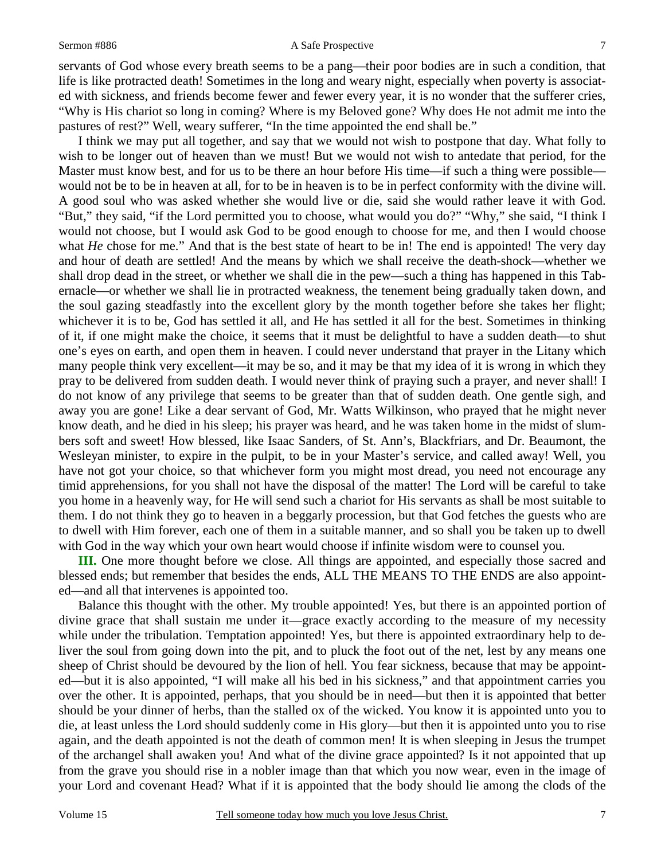#### Sermon #886 A Safe Prospective

7

servants of God whose every breath seems to be a pang—their poor bodies are in such a condition, that life is like protracted death! Sometimes in the long and weary night, especially when poverty is associated with sickness, and friends become fewer and fewer every year, it is no wonder that the sufferer cries, "Why is His chariot so long in coming? Where is my Beloved gone? Why does He not admit me into the pastures of rest?" Well, weary sufferer, "In the time appointed the end shall be."

 I think we may put all together, and say that we would not wish to postpone that day. What folly to wish to be longer out of heaven than we must! But we would not wish to antedate that period, for the Master must know best, and for us to be there an hour before His time—if such a thing were possible would not be to be in heaven at all, for to be in heaven is to be in perfect conformity with the divine will. A good soul who was asked whether she would live or die, said she would rather leave it with God. "But," they said, "if the Lord permitted you to choose, what would you do?" "Why," she said, "I think I would not choose, but I would ask God to be good enough to choose for me, and then I would choose what *He* chose for me." And that is the best state of heart to be in! The end is appointed! The very day and hour of death are settled! And the means by which we shall receive the death-shock—whether we shall drop dead in the street, or whether we shall die in the pew—such a thing has happened in this Tabernacle—or whether we shall lie in protracted weakness, the tenement being gradually taken down, and the soul gazing steadfastly into the excellent glory by the month together before she takes her flight; whichever it is to be, God has settled it all, and He has settled it all for the best. Sometimes in thinking of it, if one might make the choice, it seems that it must be delightful to have a sudden death—to shut one's eyes on earth, and open them in heaven. I could never understand that prayer in the Litany which many people think very excellent—it may be so, and it may be that my idea of it is wrong in which they pray to be delivered from sudden death. I would never think of praying such a prayer, and never shall! I do not know of any privilege that seems to be greater than that of sudden death. One gentle sigh, and away you are gone! Like a dear servant of God, Mr. Watts Wilkinson, who prayed that he might never know death, and he died in his sleep; his prayer was heard, and he was taken home in the midst of slumbers soft and sweet! How blessed, like Isaac Sanders, of St. Ann's, Blackfriars, and Dr. Beaumont, the Wesleyan minister, to expire in the pulpit, to be in your Master's service, and called away! Well, you have not got your choice, so that whichever form you might most dread, you need not encourage any timid apprehensions, for you shall not have the disposal of the matter! The Lord will be careful to take you home in a heavenly way, for He will send such a chariot for His servants as shall be most suitable to them. I do not think they go to heaven in a beggarly procession, but that God fetches the guests who are to dwell with Him forever, each one of them in a suitable manner, and so shall you be taken up to dwell with God in the way which your own heart would choose if infinite wisdom were to counsel you.

**III.** One more thought before we close. All things are appointed, and especially those sacred and blessed ends; but remember that besides the ends, ALL THE MEANS TO THE ENDS are also appointed—and all that intervenes is appointed too.

 Balance this thought with the other. My trouble appointed! Yes, but there is an appointed portion of divine grace that shall sustain me under it—grace exactly according to the measure of my necessity while under the tribulation. Temptation appointed! Yes, but there is appointed extraordinary help to deliver the soul from going down into the pit, and to pluck the foot out of the net, lest by any means one sheep of Christ should be devoured by the lion of hell. You fear sickness, because that may be appointed—but it is also appointed, "I will make all his bed in his sickness," and that appointment carries you over the other. It is appointed, perhaps, that you should be in need—but then it is appointed that better should be your dinner of herbs, than the stalled ox of the wicked. You know it is appointed unto you to die, at least unless the Lord should suddenly come in His glory—but then it is appointed unto you to rise again, and the death appointed is not the death of common men! It is when sleeping in Jesus the trumpet of the archangel shall awaken you! And what of the divine grace appointed? Is it not appointed that up from the grave you should rise in a nobler image than that which you now wear, even in the image of your Lord and covenant Head? What if it is appointed that the body should lie among the clods of the